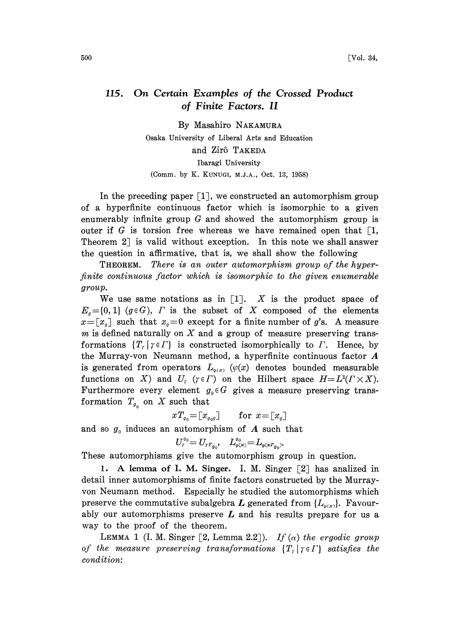## 115. On Certain Examples of the Crossed Product of Finite Factors. II

By Masahiro NAKAMURA

Osaka University of Liberal Arts and Education

## and Zirô TAKEDA

Ibaragi University

(Comm. by K. KUNUGI, M.J.A., Oct. 13, 1958)

In the preceding paper  $\lceil 1 \rceil$ , we constructed an automorphism group of a hyperfinite continuous factor which is isomorphic to a given enumerably infinite group G and showed the automorphism group is outer if G is torsion free whereas we have remained open that  $\lceil 1, \rceil$ , Theorem  $2$  is valid without exception. In this note we shall answer the question in affirmative, that is, we shall show the following

THEOREM. There is an outer automorphism group of the hyperfinite continuous factor which is isomorphic to the given enumerable group.

We use same notations as in  $\left[1\right]$ . X is the product space of  $E_q=[0,1]$  (geG),  $\Gamma$  is the subset of X composed of the elements  $x=[x_q]$  such that  $x_q=0$  except for a finite number of g's. A measure m is defined naturally on  $X$  and a group of measure preserving transformations  $\{T_r | r \in \Gamma\}$  is constructed isomorphically to  $\Gamma$ . Hence, by the Murray-von Neumann method, <sup>a</sup> hyperfinite continuous factor A is generated from operators  $L_{\varphi(x)}$  ( $\varphi(x)$  denotes bounded measurable functions on X) and  $U_r$  ( $\gamma \in \Gamma$ ) on the Hilbert space  $H = L^2(\Gamma \times X)$ . Furthermore every element  $g_0 \in G$  gives a measure preserving transformation  $T_{q_0}$  on X such that

$$
xT_{g_0} = [x_{g_0g}] \quad \text{for } x = [x_g]
$$

and so  $g_0$  induces an automorphism of A such that

$$
U_r^{g_0}\!\!=U_{rT_{g_0}\!},\quad L^{g_0}_{\varphi(x)}\!=\!L_{\varphi(xT_{g_0})^*}
$$

These automorphisms give the automorphism group in question.

1. A lemma of I. M. Singer. I. M. Singer  $\lceil 2 \rceil$  has analized in detail inner automorphisms of finite factors constructed by the Murrayvon Neumann method. Especially he studied the automorphisms which preserve the commutative subalgebra L generated from  $\{L_{\varphi(x)}\}$ . Favourably our automorphisms preserve  $L$  and his results prepare for us a way to the proof of the theorem.

LEMMA 1 (I. M. Singer [2, Lemma 2.2]). If  $(\alpha)$  the ergodic group of the measure preserving transformations  $\{T_r | r \in \Gamma\}$  satisfies the condition: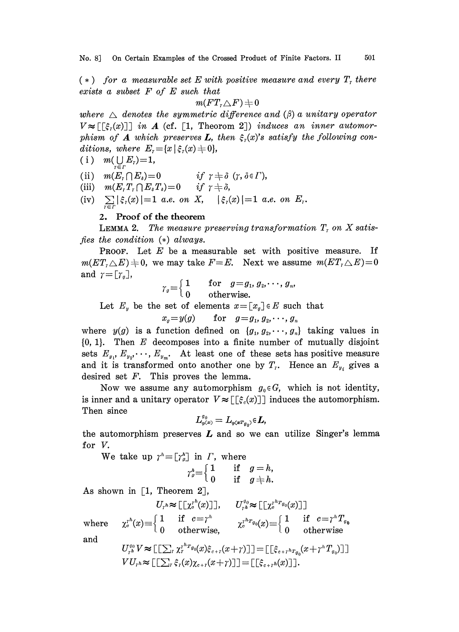No. 8] On Certain Examples of the Crossed Product of Finite Factors. II 501

 $(*)$  for a measurable set E with positive measure and every  $T<sub>r</sub>$  there exists a subset  $F$  of  $E$  such that

$$
m(FT_r\triangle F)\mathop{+} 0
$$

 $\begin{array}{c} + \ 0 \ \textit{enca} \ \mathbb{I}) \ \ i \ \textit{r} \ \textit{r} \ \textit{r} \ \textit{r} \ \textit{r} \ \textit{r} \ \textit{r} \ \textit{r} \ \textit{r} \ \textit{r} \ \textit{r} \ \textit{r} \ \textit{r} \ \textit{r} \ \textit{r} \ \textit{r} \ \textit{r} \ \textit{r} \ \textit{r} \ \textit{r} \ \textit{r} \ \textit{r} \ \textit{r} \ \textit{r} \ \textit{r} \ \textit{r} \ \textit{r} \ \$ where  $\Delta$  denotes the symmetric difference and ( $\beta$ ) a unitary operator  $V \approx \lfloor [\xi_i(x)] \rfloor$  in A (cf. [1, Theorom 2]) induces an inner automorphism of A which preserves L, then  $\xi_i(x)$ 's satisfy the following conditions, where  $E_r = \{x \mid \xi_r(x) \neq 0\},\$ 

$$
(i) \quad m(\bigcup_{r \in r} E_r) = 1,
$$

(ii)  $m(E_{\tau} \cap E_{\delta}) = 0$  if  $\tau \neq \delta$  ( $\tau, \delta \in \Gamma$ ), (ii)  $m(E_r \cap E_s) = 0$  if  $r \neq \delta$ <br>(iii)  $m(E_r \cap E_s) = 0$  if  $r \neq \delta$ ,

(iv)  $\sum_{r \in r} |\xi_r(x)| = 1$  a.e. on X,  $|\xi_r(x)| = 1$  a.e. on  $E_r$ .

## 2. Proof of the theorem

**LEMMA 2.** The measure preserving transformation  $T<sub>r</sub>$  on X satisfies the condition  $(*)$  always.

**PROOF.** Let  $E$  be a measurable set with positive measure. If  $m(ET<sub>r</sub> \triangle E) \neq 0$ , we may take  $F=E$ . Next we assume  $m(ET<sub>r</sub> \triangle E) = 0$ and  $\gamma = [r_q]$ ,

$$
\gamma_g = \begin{cases} 1 & \text{for} \quad g = g_1, g_2, \cdots, g_n, \\ 0 & \text{otherwise.} \end{cases}
$$

Let  $E_y$  be the set of elements  $x=[x_q] \in E$  such that

$$
x_q = y(g) \qquad \text{for} \quad g = g_1, g_2, \cdots, g_n
$$

where  $y(g)$  is a function defined on  $\{g_1, g_2, \dots, g_n\}$  taking values in  ${0, 1}$ . Then E decomposes into a finite number of mutually disjoint sets  $E_{y_1}, E_{y_2}, \dots, E_{y_m}$ . At least one of these sets has positive measure and it is transformed onto another one by  $T_i$ . Hence an  $E_{y_i}$  gives a desired set  $F$ . This proves the lemma.

Now we assume any automorphism  $g_0 \in G$ , which is not identity, is inner and a unitary operator  $V \approx \lceil \lceil \xi_c(x) \rceil \rceil$  induces the automorphism. Then since

$$
L^{q_0}_{\varphi(x)}=L_{\varphi(\boldsymbol{x}T_{q_0})}\varepsilon L,
$$

the automorphism preserves  $L$  and so we can utilize Singer's lemma for V.

We take up  $\gamma^{h}=[\gamma^{h}_{g}]$  in  $\Gamma$ , where

$$
\gamma_g^n = \begin{cases} 1 & \text{if } g = h, \\ 0 & \text{if } g \neq h. \end{cases}
$$

As shown in [1, Theorem 2],

$$
U_r \approx \begin{bmatrix} \begin{bmatrix} \chi_r^{n}(x) \end{bmatrix} \end{bmatrix}, \qquad U_{r\hbar}^{q_0} \approx \begin{bmatrix} \begin{bmatrix} \chi_r^{n} r_{q_0}(x) \end{bmatrix} \end{bmatrix}
$$
  
where 
$$
\chi_c^{n}(x) \equiv \begin{cases} 1 & \text{if } c = \gamma^h \\ 0 & \text{otherwise}, \end{cases} \qquad \chi_c^{n} r_{q_0}(x) \equiv \begin{cases} 1 & \text{if } c = \gamma^h T_{q_0} \\ 0 & \text{otherwise} \end{cases}
$$

and

$$
U_{r^h}^{q_0} V \approx \left[ \left[ \sum_r \chi_r^{r^h r_{q_0}}(x) \xi_{c+r}(x+r) \right] \right] = \left[ \left[ \xi_{c+r^h r_{q_0}}(x+r^n T_{q_0}) \right] \right]
$$
  
\n
$$
V U_{r^h} \approx \left[ \left[ \sum_r \xi_r(x) \chi_{c+r}(x+r) \right] \right] = \left[ \left[ \xi_{c+r^h} (x) \right] \right].
$$